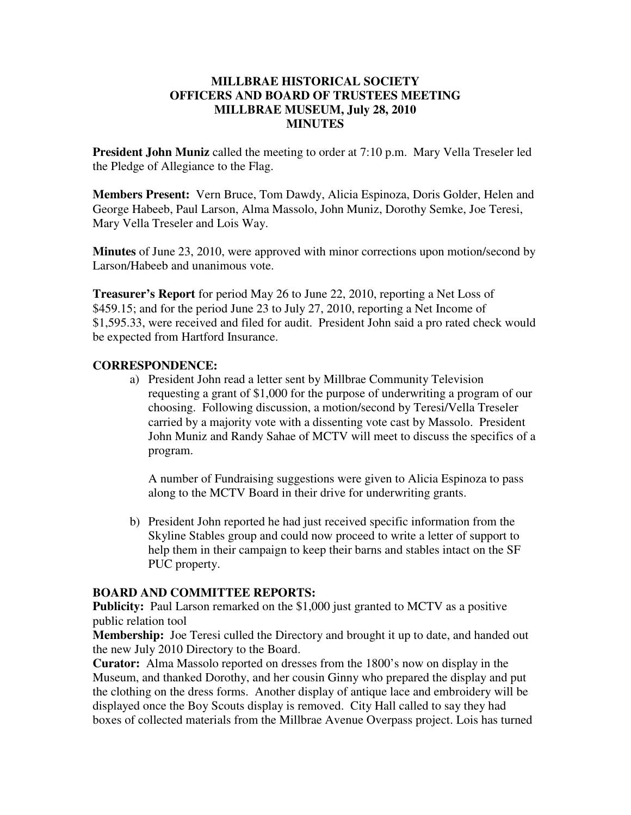## **MILLBRAE HISTORICAL SOCIETY OFFICERS AND BOARD OF TRUSTEES MEETING MILLBRAE MUSEUM, July 28, 2010 MINUTES**

**President John Muniz** called the meeting to order at 7:10 p.m. Mary Vella Treseler led the Pledge of Allegiance to the Flag.

**Members Present:** Vern Bruce, Tom Dawdy, Alicia Espinoza, Doris Golder, Helen and George Habeeb, Paul Larson, Alma Massolo, John Muniz, Dorothy Semke, Joe Teresi, Mary Vella Treseler and Lois Way.

**Minutes** of June 23, 2010, were approved with minor corrections upon motion/second by Larson/Habeeb and unanimous vote.

**Treasurer's Report** for period May 26 to June 22, 2010, reporting a Net Loss of \$459.15; and for the period June 23 to July 27, 2010, reporting a Net Income of \$1,595.33, were received and filed for audit. President John said a pro rated check would be expected from Hartford Insurance.

## **CORRESPONDENCE:**

a) President John read a letter sent by Millbrae Community Television requesting a grant of \$1,000 for the purpose of underwriting a program of our choosing. Following discussion, a motion/second by Teresi/Vella Treseler carried by a majority vote with a dissenting vote cast by Massolo. President John Muniz and Randy Sahae of MCTV will meet to discuss the specifics of a program.

A number of Fundraising suggestions were given to Alicia Espinoza to pass along to the MCTV Board in their drive for underwriting grants.

b) President John reported he had just received specific information from the Skyline Stables group and could now proceed to write a letter of support to help them in their campaign to keep their barns and stables intact on the SF PUC property.

## **BOARD AND COMMITTEE REPORTS:**

**Publicity:** Paul Larson remarked on the \$1,000 just granted to MCTV as a positive public relation tool

**Membership:** Joe Teresi culled the Directory and brought it up to date, and handed out the new July 2010 Directory to the Board.

**Curator:** Alma Massolo reported on dresses from the 1800's now on display in the Museum, and thanked Dorothy, and her cousin Ginny who prepared the display and put the clothing on the dress forms. Another display of antique lace and embroidery will be displayed once the Boy Scouts display is removed. City Hall called to say they had boxes of collected materials from the Millbrae Avenue Overpass project. Lois has turned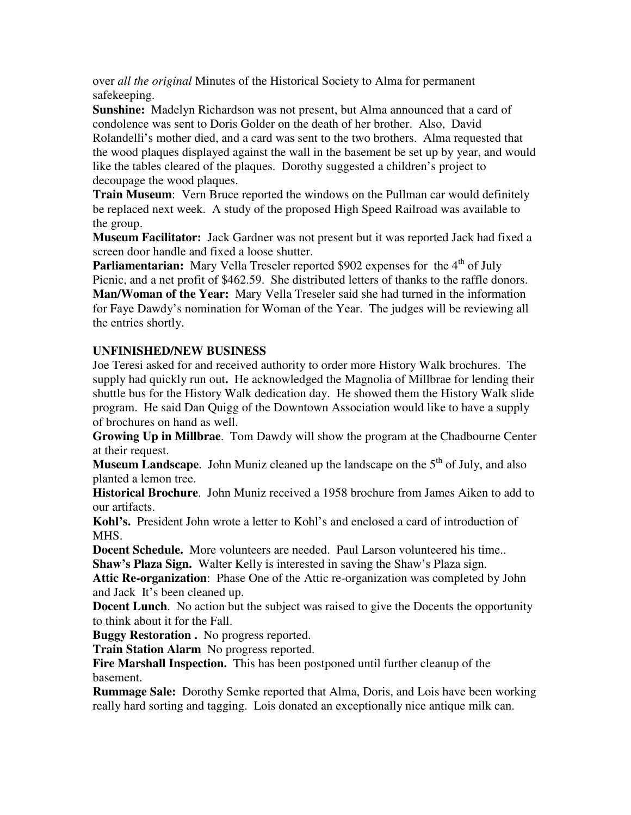over *all the original* Minutes of the Historical Society to Alma for permanent safekeeping.

**Sunshine:** Madelyn Richardson was not present, but Alma announced that a card of condolence was sent to Doris Golder on the death of her brother. Also, David Rolandelli's mother died, and a card was sent to the two brothers. Alma requested that the wood plaques displayed against the wall in the basement be set up by year, and would like the tables cleared of the plaques. Dorothy suggested a children's project to decoupage the wood plaques.

**Train Museum:** Vern Bruce reported the windows on the Pullman car would definitely be replaced next week. A study of the proposed High Speed Railroad was available to the group.

**Museum Facilitator:** Jack Gardner was not present but it was reported Jack had fixed a screen door handle and fixed a loose shutter.

**Parliamentarian:** Mary Vella Treseler reported \$902 expenses for the 4<sup>th</sup> of July Picnic, and a net profit of \$462.59. She distributed letters of thanks to the raffle donors. **Man/Woman of the Year:** Mary Vella Treseler said she had turned in the information for Faye Dawdy's nomination for Woman of the Year. The judges will be reviewing all the entries shortly.

## **UNFINISHED/NEW BUSINESS**

Joe Teresi asked for and received authority to order more History Walk brochures. The supply had quickly run out**.** He acknowledged the Magnolia of Millbrae for lending their shuttle bus for the History Walk dedication day. He showed them the History Walk slide program. He said Dan Quigg of the Downtown Association would like to have a supply of brochures on hand as well.

**Growing Up in Millbrae**. Tom Dawdy will show the program at the Chadbourne Center at their request.

**Museum Landscape.** John Muniz cleaned up the landscape on the 5<sup>th</sup> of July, and also planted a lemon tree.

**Historical Brochure**. John Muniz received a 1958 brochure from James Aiken to add to our artifacts.

**Kohl's.** President John wrote a letter to Kohl's and enclosed a card of introduction of MHS.

**Docent Schedule.** More volunteers are needed. Paul Larson volunteered his time.. **Shaw's Plaza Sign.** Walter Kelly is interested in saving the Shaw's Plaza sign.

**Attic Re-organization**: Phase One of the Attic re-organization was completed by John and Jack It's been cleaned up.

**Docent Lunch**. No action but the subject was raised to give the Docents the opportunity to think about it for the Fall.

**Buggy Restoration .** No progress reported.

**Train Station Alarm** No progress reported.

**Fire Marshall Inspection.** This has been postponed until further cleanup of the basement.

**Rummage Sale:** Dorothy Semke reported that Alma, Doris, and Lois have been working really hard sorting and tagging. Lois donated an exceptionally nice antique milk can.